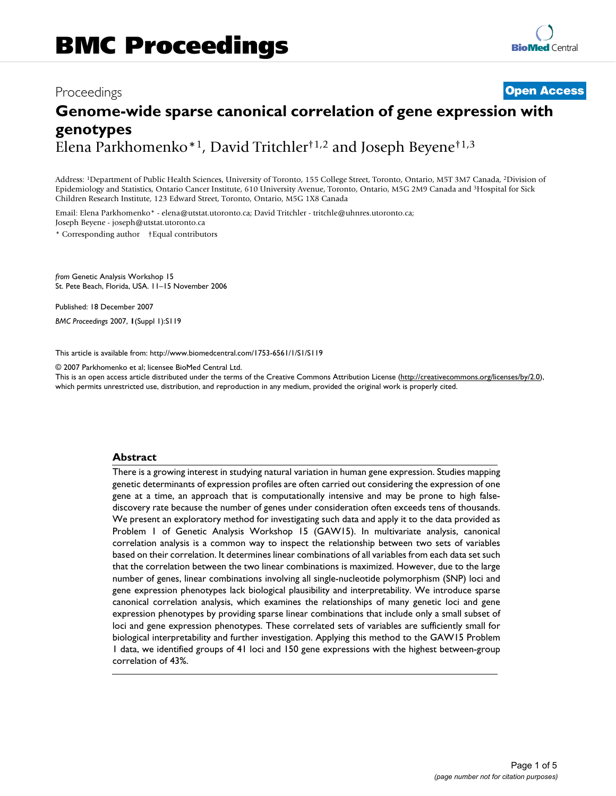# Proceedings **[Open Access](http://www.biomedcentral.com/info/about/charter/) Genome-wide sparse canonical correlation of gene expression with genotypes** Elena Parkhomenko\*1, David Tritchler†1,2 and Joseph Beyene†1,3

Address: 1Department of Public Health Sciences, University of Toronto, 155 College Street, Toronto, Ontario, M5T 3M7 Canada, 2Division of Epidemiology and Statistics, Ontario Cancer Institute, 610 University Avenue, Toronto, Ontario, M5G 2M9 Canada and 3Hospital for Sick Children Research Institute, 123 Edward Street, Toronto, Ontario, M5G 1X8 Canada

Email: Elena Parkhomenko\* - elena@utstat.utoronto.ca; David Tritchler - tritchle@uhnres.utoronto.ca; Joseph Beyene - joseph@utstat.utoronto.ca

\* Corresponding author †Equal contributors

*from* Genetic Analysis Workshop 15 St. Pete Beach, Florida, USA. 11–15 November 2006

Published: 18 December 2007

*BMC Proceedings* 2007, **1**(Suppl 1):S119

[This article is available from: http://www.biomedcentral.com/1753-6561/1/S1/S119](http://www.biomedcentral.com/1753-6561/1/S1/S119)

© 2007 Parkhomenko et al; licensee BioMed Central Ltd.

This is an open access article distributed under the terms of the Creative Commons Attribution License [\(http://creativecommons.org/licenses/by/2.0\)](http://creativecommons.org/licenses/by/2.0), which permits unrestricted use, distribution, and reproduction in any medium, provided the original work is properly cited.

# **Abstract**

There is a growing interest in studying natural variation in human gene expression. Studies mapping genetic determinants of expression profiles are often carried out considering the expression of one gene at a time, an approach that is computationally intensive and may be prone to high falsediscovery rate because the number of genes under consideration often exceeds tens of thousands. We present an exploratory method for investigating such data and apply it to the data provided as Problem 1 of Genetic Analysis Workshop 15 (GAW15). In multivariate analysis, canonical correlation analysis is a common way to inspect the relationship between two sets of variables based on their correlation. It determines linear combinations of all variables from each data set such that the correlation between the two linear combinations is maximized. However, due to the large number of genes, linear combinations involving all single-nucleotide polymorphism (SNP) loci and gene expression phenotypes lack biological plausibility and interpretability. We introduce sparse canonical correlation analysis, which examines the relationships of many genetic loci and gene expression phenotypes by providing sparse linear combinations that include only a small subset of loci and gene expression phenotypes. These correlated sets of variables are sufficiently small for biological interpretability and further investigation. Applying this method to the GAW15 Problem 1 data, we identified groups of 41 loci and 150 gene expressions with the highest between-group correlation of 43%.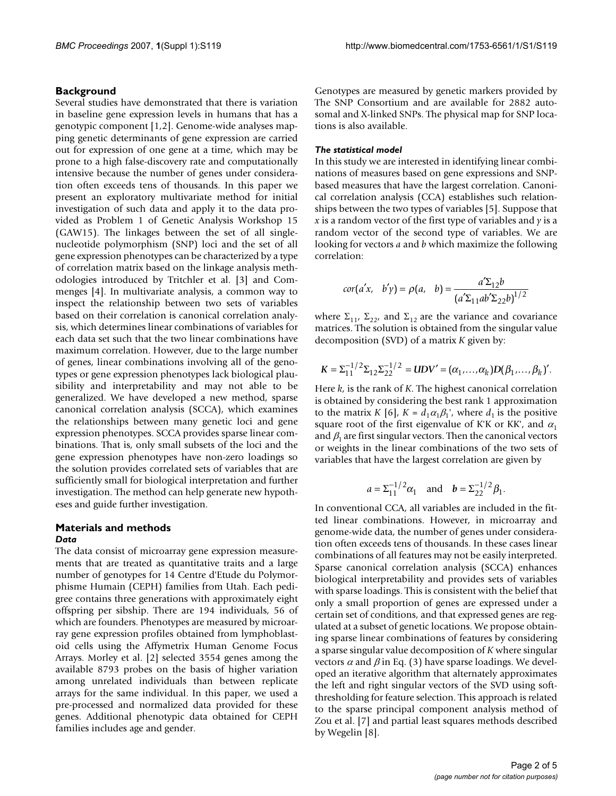# **Background**

Several studies have demonstrated that there is variation in baseline gene expression levels in humans that has a genotypic component [1,2]. Genome-wide analyses mapping genetic determinants of gene expression are carried out for expression of one gene at a time, which may be prone to a high false-discovery rate and computationally intensive because the number of genes under consideration often exceeds tens of thousands. In this paper we present an exploratory multivariate method for initial investigation of such data and apply it to the data provided as Problem 1 of Genetic Analysis Workshop 15 (GAW15). The linkages between the set of all singlenucleotide polymorphism (SNP) loci and the set of all gene expression phenotypes can be characterized by a type of correlation matrix based on the linkage analysis methodologies introduced by Tritchler et al. [3] and Commenges [4]. In multivariate analysis, a common way to inspect the relationship between two sets of variables based on their correlation is canonical correlation analysis, which determines linear combinations of variables for each data set such that the two linear combinations have maximum correlation. However, due to the large number of genes, linear combinations involving all of the genotypes or gene expression phenotypes lack biological plausibility and interpretability and may not able to be generalized. We have developed a new method, sparse canonical correlation analysis (SCCA), which examines the relationships between many genetic loci and gene expression phenotypes. SCCA provides sparse linear combinations. That is, only small subsets of the loci and the gene expression phenotypes have non-zero loadings so the solution provides correlated sets of variables that are sufficiently small for biological interpretation and further investigation. The method can help generate new hypotheses and guide further investigation.

# **Materials and methods** *Data*

The data consist of microarray gene expression measurements that are treated as quantitative traits and a large number of genotypes for 14 Centre d'Etude du Polymorphisme Humain (CEPH) families from Utah. Each pedigree contains three generations with approximately eight offspring per sibship. There are 194 individuals, 56 of which are founders. Phenotypes are measured by microarray gene expression profiles obtained from lymphoblastoid cells using the Affymetrix Human Genome Focus Arrays. Morley et al. [2] selected 3554 genes among the available 8793 probes on the basis of higher variation among unrelated individuals than between replicate arrays for the same individual. In this paper, we used a pre-processed and normalized data provided for these genes. Additional phenotypic data obtained for CEPH families includes age and gender.

Genotypes are measured by genetic markers provided by The SNP Consortium and are available for 2882 autosomal and X-linked SNPs. The physical map for SNP locations is also available.

## *The statistical model*

In this study we are interested in identifying linear combinations of measures based on gene expressions and SNPbased measures that have the largest correlation. Canonical correlation analysis (CCA) establishes such relationships between the two types of variables [5]. Suppose that *x* is a random vector of the first type of variables and *y* is a random vector of the second type of variables. We are looking for vectors *a* and *b* which maximize the following correlation:

$$
cor(a'x, b'y) = \rho(a, b) = \frac{a'\Sigma_{12}b}{(a'\Sigma_{11}ab'\Sigma_{22}b)^{1/2}}
$$

where  $\Sigma_{11}$ ,  $\Sigma_{22}$ , and  $\Sigma_{12}$  are the variance and covariance matrices. The solution is obtained from the singular value decomposition (SVD) of a matrix *K* given by:

$$
K = \Sigma_{11}^{-1/2} \Sigma_{12} \Sigma_{22}^{-1/2} = UDV' = (\alpha_1, ..., \alpha_k)D(\beta_1, ..., \beta_k)'.
$$

Here *k*, is the rank of *K*. The highest canonical correlation is obtained by considering the best rank 1 approximation to the matrix *K* [6],  $K = d_1 \alpha_1 \beta_1$ , where  $d_1$  is the positive square root of the first eigenvalue of K'K or KK', and  $\alpha_1$ and  $\beta_1$  are first singular vectors. Then the canonical vectors or weights in the linear combinations of the two sets of variables that have the largest correlation are given by

$$
a = \sum_{11}^{-1/2} \alpha_1
$$
 and  $b = \sum_{22}^{-1/2} \beta_1$ .

In conventional CCA, all variables are included in the fitted linear combinations. However, in microarray and genome-wide data, the number of genes under consideration often exceeds tens of thousands. In these cases linear combinations of all features may not be easily interpreted. Sparse canonical correlation analysis (SCCA) enhances biological interpretability and provides sets of variables with sparse loadings. This is consistent with the belief that only a small proportion of genes are expressed under a certain set of conditions, and that expressed genes are regulated at a subset of genetic locations. We propose obtaining sparse linear combinations of features by considering a sparse singular value decomposition of *K* where singular vectors  $\alpha$  and  $\beta$  in Eq. (3) have sparse loadings. We developed an iterative algorithm that alternately approximates the left and right singular vectors of the SVD using softthresholding for feature selection. This approach is related to the sparse principal component analysis method of Zou et al. [7] and partial least squares methods described by Wegelin [8].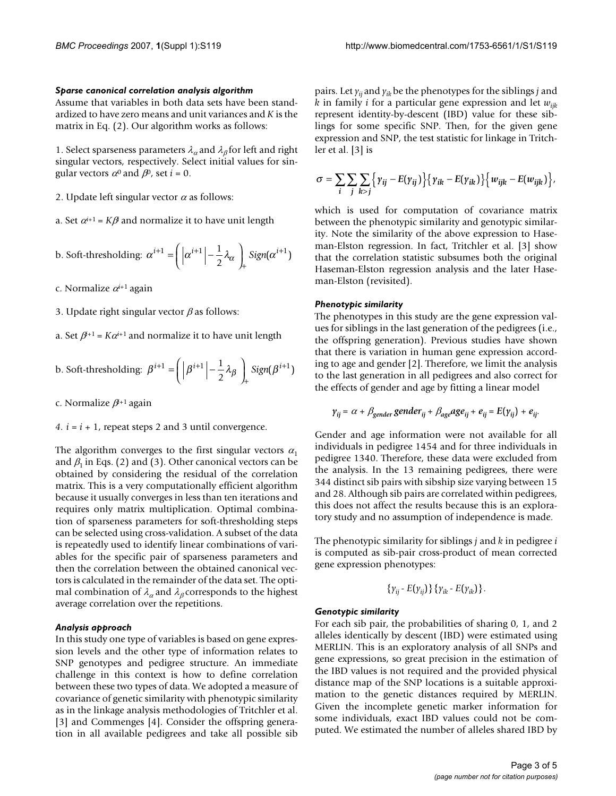### *Sparse canonical correlation analysis algorithm*

Assume that variables in both data sets have been standardized to have zero means and unit variances and *K* is the matrix in Eq. (2). Our algorithm works as follows:

1. Select sparseness parameters  $\lambda_{\alpha}$  and  $\lambda_{\beta}$  for left and right singular vectors, respectively. Select initial values for singular vectors  $\alpha^0$  and  $\beta^0$ , set *i* = 0.

2. Update left singular vector  $\alpha$  as follows:

a. Set  $\alpha^{i+1} = K\beta$  and normalize it to have unit length

b. Soft-thresholding: 
$$
\alpha^{i+1} = \left( \left| \alpha^{i+1} \right| - \frac{1}{2} \lambda_{\alpha} \right)_{+} Sign(\alpha^{i+1})
$$

c. Normalize α*<sup>i</sup>*+1 again

3. Update right singular vector  $\beta$  as follows:

a. Set  $\beta^{i+1} = K\alpha^{i+1}$  and normalize it to have unit length

b. Soft-thresholding: 
$$
\beta^{i+1} = \left( \left| \beta^{i+1} \right| - \frac{1}{2} \lambda_{\beta} \right)_{+} Sign(\beta^{i+1})
$$

c. Normalize β*<sup>i</sup>*+1 again

*4.*  $i = i + 1$ *, repeat steps 2 and 3 until convergence.* 

The algorithm converges to the first singular vectors  $\alpha_1$ and  $\beta_1$  in Eqs. (2) and (3). Other canonical vectors can be obtained by considering the residual of the correlation matrix. This is a very computationally efficient algorithm because it usually converges in less than ten iterations and requires only matrix multiplication. Optimal combination of sparseness parameters for soft-thresholding steps can be selected using cross-validation. A subset of the data is repeatedly used to identify linear combinations of variables for the specific pair of sparseness parameters and then the correlation between the obtained canonical vectors is calculated in the remainder of the data set. The optimal combination of  $\lambda_{\alpha}$  and  $\lambda_{\beta}$  corresponds to the highest average correlation over the repetitions.

### *Analysis approach*

In this study one type of variables is based on gene expression levels and the other type of information relates to SNP genotypes and pedigree structure. An immediate challenge in this context is how to define correlation between these two types of data. We adopted a measure of covariance of genetic similarity with phenotypic similarity as in the linkage analysis methodologies of Tritchler et al. [3] and Commenges [4]. Consider the offspring generation in all available pedigrees and take all possible sib

pairs. Let  $y_{ii}$  and  $y_{ik}$  be the phenotypes for the siblings *j* and *k* in family *i* for a particular gene expression and let *wijk* represent identity-by-descent (IBD) value for these siblings for some specific SNP. Then, for the given gene expression and SNP, the test statistic for linkage in Tritchler et al. [3] is

$$
\sigma = \sum_i \sum_j \sum_{k > j} \left\{ \gamma_{ij} - E(\gamma_{ij}) \right\} \left\{ \gamma_{ik} - E(\gamma_{ik}) \right\} \left\{ w_{ijk} - E(w_{ijk}) \right\},\,
$$

which is used for computation of covariance matrix between the phenotypic similarity and genotypic similarity. Note the similarity of the above expression to Haseman-Elston regression. In fact, Tritchler et al. [3] show that the correlation statistic subsumes both the original Haseman-Elston regression analysis and the later Haseman-Elston (revisited).

#### *Phenotypic similarity*

The phenotypes in this study are the gene expression values for siblings in the last generation of the pedigrees (i.e., the offspring generation). Previous studies have shown that there is variation in human gene expression according to age and gender [2]. Therefore, we limit the analysis to the last generation in all pedigrees and also correct for the effects of gender and age by fitting a linear model

$$
\gamma_{ij} = \alpha + \beta_{gender} gender_{ij} + \beta_{age} age_{ij} + e_{ij} = E(\gamma_{ij}) + e_{ij}.
$$

Gender and age information were not available for all individuals in pedigree 1454 and for three individuals in pedigree 1340. Therefore, these data were excluded from the analysis. In the 13 remaining pedigrees, there were 344 distinct sib pairs with sibship size varying between 15 and 28. Although sib pairs are correlated within pedigrees, this does not affect the results because this is an exploratory study and no assumption of independence is made.

The phenotypic similarity for siblings *j* and *k* in pedigree *i* is computed as sib-pair cross-product of mean corrected gene expression phenotypes:

$$
\{\gamma_{ij}-E(\gamma_{ij})\}\{\gamma_{ik}-E(\gamma_{ik})\}.
$$

#### *Genotypic similarity*

For each sib pair, the probabilities of sharing 0, 1, and 2 alleles identically by descent (IBD) were estimated using MERLIN. This is an exploratory analysis of all SNPs and gene expressions, so great precision in the estimation of the IBD values is not required and the provided physical distance map of the SNP locations is a suitable approximation to the genetic distances required by MERLIN. Given the incomplete genetic marker information for some individuals, exact IBD values could not be computed. We estimated the number of alleles shared IBD by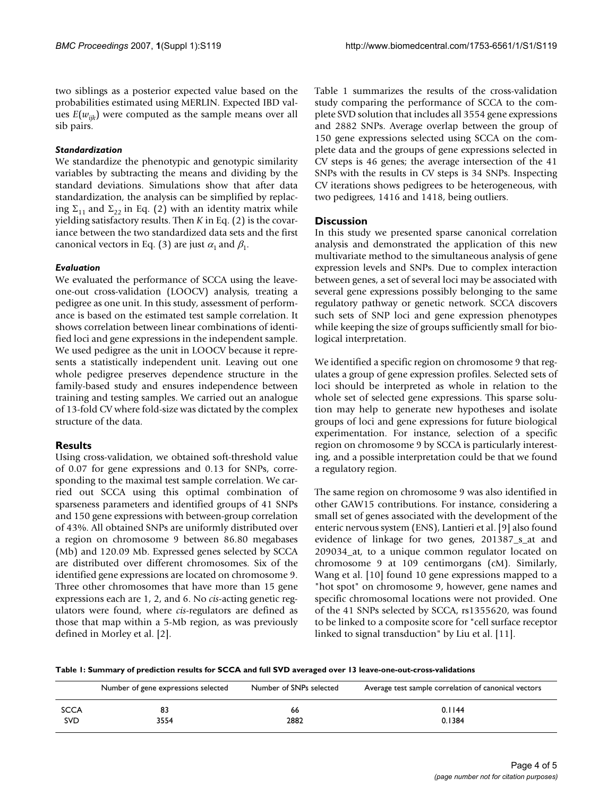two siblings as a posterior expected value based on the probabilities estimated using MERLIN. Expected IBD values  $E(w_{ijk})$  were computed as the sample means over all sib pairs.

# *Standardization*

We standardize the phenotypic and genotypic similarity variables by subtracting the means and dividing by the standard deviations. Simulations show that after data standardization, the analysis can be simplified by replacing  $\Sigma_{11}$  and  $\Sigma_{22}$  in Eq. (2) with an identity matrix while yielding satisfactory results. Then *K* in Eq. (2) is the covariance between the two standardized data sets and the first canonical vectors in Eq. (3) are just  $\alpha_1$  and  $\beta_1$ .

# *Evaluation*

We evaluated the performance of SCCA using the leaveone-out cross-validation (LOOCV) analysis, treating a pedigree as one unit. In this study, assessment of performance is based on the estimated test sample correlation. It shows correlation between linear combinations of identified loci and gene expressions in the independent sample. We used pedigree as the unit in LOOCV because it represents a statistically independent unit. Leaving out one whole pedigree preserves dependence structure in the family-based study and ensures independence between training and testing samples. We carried out an analogue of 13-fold CV where fold-size was dictated by the complex structure of the data.

# **Results**

Using cross-validation, we obtained soft-threshold value of 0.07 for gene expressions and 0.13 for SNPs, corresponding to the maximal test sample correlation. We carried out SCCA using this optimal combination of sparseness parameters and identified groups of 41 SNPs and 150 gene expressions with between-group correlation of 43%. All obtained SNPs are uniformly distributed over a region on chromosome 9 between 86.80 megabases (Mb) and 120.09 Mb. Expressed genes selected by SCCA are distributed over different chromosomes. Six of the identified gene expressions are located on chromosome 9. Three other chromosomes that have more than 15 gene expressions each are 1, 2, and 6. No *cis*-acting genetic regulators were found, where *cis*-regulators are defined as those that map within a 5-Mb region, as was previously defined in Morley et al. [2].

Table 1 summarizes the results of the cross-validation study comparing the performance of SCCA to the complete SVD solution that includes all 3554 gene expressions and 2882 SNPs. Average overlap between the group of 150 gene expressions selected using SCCA on the complete data and the groups of gene expressions selected in CV steps is 46 genes; the average intersection of the 41 SNPs with the results in CV steps is 34 SNPs. Inspecting CV iterations shows pedigrees to be heterogeneous, with two pedigrees, 1416 and 1418, being outliers.

# **Discussion**

In this study we presented sparse canonical correlation analysis and demonstrated the application of this new multivariate method to the simultaneous analysis of gene expression levels and SNPs. Due to complex interaction between genes, a set of several loci may be associated with several gene expressions possibly belonging to the same regulatory pathway or genetic network. SCCA discovers such sets of SNP loci and gene expression phenotypes while keeping the size of groups sufficiently small for biological interpretation.

We identified a specific region on chromosome 9 that regulates a group of gene expression profiles. Selected sets of loci should be interpreted as whole in relation to the whole set of selected gene expressions. This sparse solution may help to generate new hypotheses and isolate groups of loci and gene expressions for future biological experimentation. For instance, selection of a specific region on chromosome 9 by SCCA is particularly interesting, and a possible interpretation could be that we found a regulatory region.

The same region on chromosome 9 was also identified in other GAW15 contributions. For instance, considering a small set of genes associated with the development of the enteric nervous system (ENS), Lantieri et al. [9] also found evidence of linkage for two genes, 201387\_s\_at and 209034\_at, to a unique common regulator located on chromosome 9 at 109 centimorgans (cM). Similarly, Wang et al. [10] found 10 gene expressions mapped to a "hot spot" on chromosome 9, however, gene names and specific chromosomal locations were not provided. One of the 41 SNPs selected by SCCA, rs1355620, was found to be linked to a composite score for "cell surface receptor linked to signal transduction" by Liu et al. [11].

**Table 1: Summary of prediction results for SCCA and full SVD averaged over 13 leave-one-out-cross-validations**

|             | Number of gene expressions selected | Number of SNPs selected | Average test sample correlation of canonical vectors |
|-------------|-------------------------------------|-------------------------|------------------------------------------------------|
| <b>SCCA</b> | 83                                  | 66                      | 0.1144                                               |
| <b>SVD</b>  | 3554                                | 2882                    | 0.1384                                               |